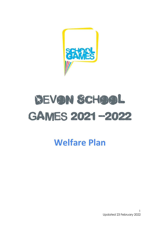

# REVON SCHOOL GAMES 2021-2022

**Welfare Plan**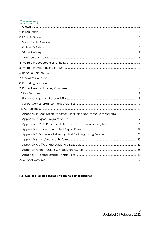# Contents

| Appendix 1: Registration Document (Including Non-Photo Consent Form) 20 |  |
|-------------------------------------------------------------------------|--|
|                                                                         |  |
|                                                                         |  |
|                                                                         |  |
|                                                                         |  |
|                                                                         |  |
|                                                                         |  |
|                                                                         |  |
|                                                                         |  |
|                                                                         |  |

# N.B. Copies of all appendices will be held at Registration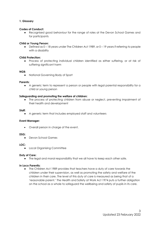# <span id="page-2-0"></span>**1. Glossary**

# **Codes of Conduct:**

Recognised good behaviour for the range of roles at the Devon School Games and for participants

# **Child or Young Person:**

● Defined as 0 – 18 years under The Children Act 1989, or 0 – 19 years if referring to people with a disability

# **Child Protection:**

● Process of protecting individual children identified as either suffering, or at risk of suffering significant harm

# **NGB:**

● National Governing Body of Sport

# **Parents:**

● A generic term to represent a person or people with legal parental responsibility for a child or young person

# **Safeguarding and promoting the welfare of children:**

• The process of protecting children from abuse or neglect, preventing impairment of their health and development

# **Staff:**

● A generic term that includes employed staff and volunteers

# **Event Manager:**

• Overall person in charge of the event.

# **DSG:**

● Devon School Games

# **LOC:**

● Local Organising Committee

# **Duty of Care:**

● The legal and moral responsibility that we all have to keep each other safe.

# **In Loco Parentis:**

● The Children Act 1989 provides that teachers have a duty of care towards the children under their supervision, as well as promoting the safety and welfare of the children in their care. The level of this duty of care is measured as being that of a 'reasonable parent.' The Health and Safety at Work Act 1974 puts a further obligation on the school as a whole to safeguard the wellbeing and safety of pupils in its care.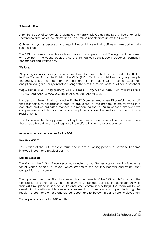# <span id="page-3-0"></span>**2. Introduction**

After the legacy of London 2012 Olympic and Paralympic Games, the DSG will be a fantastic sporting celebration of the talents and skills of young people from across the County.

Children and young people of all ages, abilities and those with disabilities will take part in multisport festivals.

The DSG is not solely about those who will play and compete in sport. The legacy of the games will also be in the young people who are trained as sports leaders, coaches, journalists, announcers and statisticians.

#### **Welfare:**

All sporting events for young people should take place within the broad context of the United Nations Convention on the Rights of the Child (1989). Whilst most children and young people thoroughly enjoy their sport and the camaraderie that goes with it, some experience disruption, danger or injury and others bring with them the impact of issues at home or school.

THIS WELFARE PLAN IS DESIGNED TO MINIMISE THE RISKS TO THE CHILDREN AND YOUNG PEOPLE TAKING PART AND TO MAXIMISE THEIR ENJOYMENT AND WELL BEING

In order to achieve this, all staff involved in the DSG are required to read it carefully and to fulfil their respective responsibilities in order to ensure that all the procedures are followed in a consistent and co-ordinated manner. It is recognised that all NGBs of sport already have comprehensive policies and procedures in place to cover the welfare and duty of care requirements.

This plan is intended to supplement, not replace or reproduce those policies; however where there could be a difference of response the Welfare Plan will take precedence.

# **Mission, vision and outcomes for the DSG:**

# **Devon's Vision**:

The mission of the DSG is: 'To enthuse and inspire all young people in Devon to become involved in sport and physical activity.

# **Devon's Mission**:

The vision for the DSG is: 'To deliver an outstanding School Games programme that is inclusive for all young people in Devon, which embodies the positive benefits and values that competition can provide.

The organisers are committed to ensuring that the benefits of the DSG reach far beyond the competition and event days. The sporting events will be focal points for the development work that will take place in schools, clubs and other community settings. The focus will be on developing the skills, confidence and commitment of children and young people through the medium of sport and other areas related to sport and to the Olympic and Paralympic Games.

# **The key outcomes for the DSG are that:**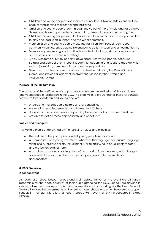- Children and young people experience a county-level Olympic-style event and the pride of representing their school and their area
- Children and young people learn through the values of the Olympic and Paralympic Games and have opportunities for education, personal development and growth
- Children and young people with disabilities are fully included and have opportunities to play and lead sport in school and the wider community
- More children and young people make the transition from school sport to sport in community settings, encouraging lifelong participation in sport and a healthy lifestyle
- More young people engage in cultural activities including music, arts and dance both in school and community settings
- A new workforce of future leaders is developed, with young people accessing training and accreditation in sports leadership, coaching and sports-related activities such as journalism, commentating and managing statistics
- New adult volunteers are recruited and involved in delivering the Devon School Games and provide a legacy of involvement inspired by the Olympic and Paralympic Games

# **Purpose of the Welfare Plan:**

The purpose of the welfare plan is to promote and ensure the wellbeing of those children and young people taking part in the DSG. The plan will also ensure that all those responsible for the welfare of children and young people:

- Understand their safeguarding role and responsibilities
- Are suitably recruited, selected and trained to fulfil these
- Understand the procedures for responding to concerns about children's welfare
- Are able to act on these appropriately and effectively

# **Values and principles:**

This Welfare Plan is underpinned by the following values and principles:

- The welfare of the participants and all young people is paramount.
- All competitors and young volunteers, whatever their age, gender, culture, language, racial origin, religious beliefs, sexual identity or disability, have equal rights to safety and protection against harm.
- All suspicions, concerns or allegations of harm arising from the event, within the sport or outside of the sport, will be taken seriously and responded to swiftly and appropriately

# <span id="page-4-0"></span>**3. DSG Overview**

# **A school event:**

As teams are school based, schools and their representatives at the event are ultimately responsible for the "loco parentis" of their pupils attending the DSG. Schools are advised in advance to undertake any administration required for a school sporting trip. The Event Manual, Welfare Plan and Risk Assessments will be sent to those schools who enter the events to support schools in their administration, although schools will have their own procedures in place already.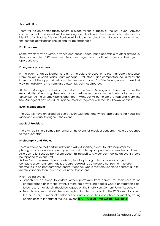# **Accreditation:**

There will be an accreditation system in place for the duration of the DSG event. Anyone connected with the event will be wearing identification in the form of a branded shirt or identification badge. This identification will indicate the role of the individual. Anyone without the correct identification should and will be challenged.

# **Public access:**

Some events may be within a venue and public space that is accessible to other groups i.e. they are not for DSG sole use. Team managers and staff will supervise their groups appropriately.

#### **Emergency procedures:**

In the event of an activated fire alarm, immediate evacuation is the mandatory response. From the venue, Sport Leads, Team Managers, volunteers, and competitors should follow the instruction of the appropriately qualified venue staff and / or Site Manager and make their way immediately to the nominated assembly point as directed.

All Team Managers, or their support staff, if the Team Manager is absent, will have the responsibility of ensuring their team / competitors evacuate immediately (false alarm or otherwise). At the assembly point, each Team Manager will complete a roll call and inform the Site Manager of any individual unaccounted for together with their last known location.

#### **Event Management:**

The DSG will have an allocated overall Event Manager and where appropriate individual Site Managers on duty throughout the event.

# **Medical Provision:**

There will be first aid trained personnel at the event, all medical concerns should be reported to the event staff.

# **Photography and Media:**

There is evidence that certain individuals will visit sporting events to take inappropriate photographs or video footage of young and disabled sports people in vulnerable positions. All organisations should be vigilant about this possibility. Any concerns during an event should be reported to event staff.

Active Devon requires all persons wishing to take photographic or video footage to complete a consent form. Adults are also required to complete a consent form to allow themselves to be photographed and/or videoed. Where they are unable to consent due to mental capacity then their carer will need to consent.

Prior / during event:

- Schools will be asked to collate written permission from parents for their child to be photographed prior to the event. If there are any young people whose photograph is not to be taken, their details should be logged on the Photo Non-Consent Form (Appendix 1)
- Team Managers must visit the main registration desk on arrival of the DSG event to collect the necessary number of wristbands to distribute to their non-photo consenting young people prior to the start of the DSG event **BRIGHT GREEN - "No Media - No Photo"**.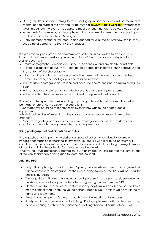- During the DSG anyone wishing to take photographs and or videos will be required to register at beginning of the day and will be issued a **YELLOW "Photo Consent"** wristbands to wear throughout the event. This applies to mobile phones that are to be used as cameras.
- All requests for interviews, photographs etc. from any media personnel for a participant must be referred to their Team Manager
- If any member of staff or volunteer is approached for a quote or interview, the journalist should be directed to the Event / Site Manager

If a professional photographer is commissioned or the press are invited to an event, it is important that they understand your expectations of them in relation to safeguarding. Active Devon will:

- Ensure photographers / media are signed in (Appendix 6) and are clearly identifiable.
- Provide a clear brief about what is considered appropriate in terms of their behaviour and the content of the photography;
- Inform participants that a photographer will be present at the event and ensure they consent to filming and photography and to its publication;
- Will not allow photographers unsupervised access to one-to-one photo sessions during the event;
- Will not approve photo sessions outside the events or at a participant's home.
- Will ensure that they are aware of how to identify anyone without consent.

If carers or other spectators are intending to photograph or video at an event they will also be made aware of Active Devon's expectations:

- Spectators will be asked to register at an event if they wish to use photographic equipment;
- Participants will be informed that if they have concerns they can report these to the organiser;

• Concerns regarding inappropriate or intrusive photography should be reported to the organiser and recorded using the incident reporting template

# **Using photographs of participants on websites**

Photographs of participants on websites can pose direct or indirect risks. For example, images accompanied by personal information (i.e. 'this is X who likes to collect stamps') could be used by an individual to learn more about an individual prior to 'grooming' them for abuse. To minimise the potential for misuse, Active Devon will:

• Ask for individual participants' permission to use an image. This ensures that they are aware of the way their image is being used to represent the sport.

# **After the DSG:**

- Only official photographs of children / young people whose parents have given their signed consent to photographs of their child being taken at the DSG will be used for publicity purposes
- The organisers will take the audience and purpose into proper consideration when publishing any photographic material featuring young people from the DSG:
- Identification: Neither the visual content nor any captions will be able to be used as a means of identifying where the young person / people live. Captions will be restricted to name and team name
- Dress: Any young person featured in publicity will be wearing suitable dress.
- Safety equipment, jewellery and clothing: Photographs used will not feature young people wearing jewellery, body piercing or clothing that could cause safety issues.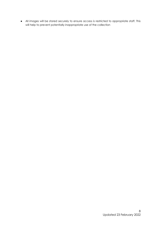● All images will be stored securely to ensure access is restricted to appropriate staff. This will help to prevent potentially inappropriate use of the collection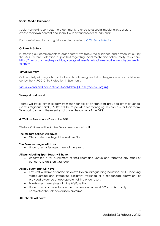# <span id="page-8-0"></span>**Social Media Guidance**

Social networking services, more commonly referred to as social media, allows users to create their own content and share it with a vast network of individuals.

For more information and guidance please refer to [CPSU Social Media](https://thecpsu.org.uk/help-advice/topics/online-safety#social-media)

# <span id="page-8-1"></span>**Online/ E- Safety**

In meeting our commitments to online safety, we follow the guidance and advice set out by the NSPCC Child Protection in Sport Unit regarding social media and online safety. Click here: [https://thecpsu.org.uk/help-advice/topics/online-safety#social-networking-what-you-need](https://thecpsu.org.uk/help-advice/topics/online-safety#social-networking-what-you-need-to-know)[to-know](https://thecpsu.org.uk/help-advice/topics/online-safety#social-networking-what-you-need-to-know) 

# <span id="page-8-2"></span>**Virtual Delivery**

Online safety with regards to virtual events or training, we follow the guidance and advice set out by the NSPCC Child Protection in Sport Unit.

[Virtual events and competitions for children | CPSU \(thecpsu.org.uk\)](https://thecpsu.org.uk/resource-library/best-practice/virtual-events-and-competitions-for-children/)

# <span id="page-8-3"></span>**Transport and travel:**

Teams will travel either directly from their school or on transport provided by their School Games Organiser (SGO). SGOs will be responsible for managing this process for their team. Transport to or from the event is not under the control of the DSG.

# <span id="page-8-4"></span>**4. Welfare Procedures Prior to the DSG**

Welfare Officers will be Active Devon members of staff.

# **The Welfare Officer will have:**

● Clear understanding of the Welfare Plan.

# **The Event Manager will have:**

● Undertaken a risk assessment of the event.

# **All participating Sport Leads will have:**

● Undertaken a risk assessment of their sport and venue and reported any issues or concerns to an Event Manager.

# **All key event staff will have:**

- Key staff will have attended an Active Devon Safeguarding Induction, a UK Coaching 'Safeguarding and Protecting Children' workshop or a recognised equivalent or provided evidence of appropriate training undertaken.
- Familiarised themselves with the Welfare Plan.
- Undertaken / provided evidence of an enhanced level DBS or satisfactorily completed the self-declaration proforma.

# **All schools will have:**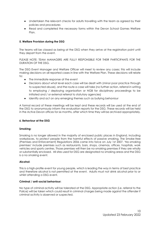- Undertaken the relevant checks for adults travelling with the team as agreed by their policies and procedures
- Read and completed the necessary forms within the Devon School Games Welfare Plan.

# <span id="page-9-0"></span>**5. Welfare Provision during the DSG**

The teams will be classed as being at the DSG when they arrive at the registration point until they depart from the event.

PLEASE NOTE: TEAM MANAGERS ARE FULLY RESPONSIBLE FOR THEIR PARTICIPANTS FOR THE DURATION OF THE DSG.

The DSG Event Manager and Welfare Officer will meet to review any cases; this will include making decisions on all reported cases in line with the Welfare Plan. These decisions will relate to:

- The immediate response at the event
- Decisions about what level each case will be dealt with (minor poor practice through to suspected abuse), and the route a case will take (no further action, referral in writing to employing / deploying organisation or NGB for disciplinary proceedings to be initiated and / or external referral to statutory agencies)
- Identify and act on any emerging themes such as bullying behaviour

A formal record of these meetings will be kept and these records will be used at the end of the DSG to anonymously inform the evaluation reports for the DSG. These records will be held in the Active Devon offices for six months, after which time they will be archived appropriately.

# <span id="page-9-1"></span>**6. Behaviour at the DSG**

# **Smoking:**

Smoking is no longer allowed in the majority of enclosed public places in England, including workplaces, to protect people from the harmful effects of passive smoking. The Smoke-free (Premises and Enforcement) Regulations 2006 came into force on July 1st 2007. 'No-smoking premises' include premises such as restaurants, bars, shops, cinemas, offices, hospitals, work vehicles and sports centres. Those premises will then be no-smoking premises if they are wholly or substantially enclosed. All sites used for DSG are designated no smoking areas and the DSG is a no smoking event.

# **Alcohol:**

This is a high-profile event for young people, which is leading the way in terms of best practice and therefore alcohol is not permitted at the event. Adults must not drink alcohol prior to or whilst attending a DSG event.

# **Criminal / anti-social behaviour:**

No type of criminal activity will be tolerated at the DSG. Appropriate action (i.e. referral to the Police) will be taken which could result in criminal charges being made against the offender if criminal activity is observed or suspected.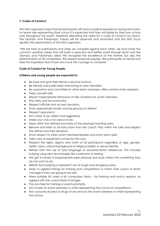# <span id="page-10-0"></span>**7. Codes of Conduct**

The DSG organisers hope that all participants will have a positive experience during the event. As teams are representing their school it is expected that they will abide by their own school rules throughout the event, therefore alleviating the need for a code of conduct for teams. The Olympic and Paralympic Values will be observed and promoted and the DSG truce signifies the expectations of the DSG organisers.

"We are here as participants and while we compete against each other, we must share the common sporting values that will build a peaceful and better world through Sport and the Olympic and Paralympic ideal. We recognise the excellence of the winners but also the determination of all competitors. We respect everyone equally. We participate as friends and take the inspiration from those who have the courage to compete."

# **Code of Conduct for Young People:**

# **Children and young people are expected to:**

- Be loyal and give their friends a second chance.
- Be friendly and particularly welcoming to new members.
- Be supportive and committed to other team members, offer comfort when required.
- Keep yourself safe.
- Report inappropriate behaviour or risky situations for youth members.
- Play fairly and be trustworthy.
- Respect officials and accept decisions.
- Show appropriate loyalty and be gracious in defeat.
- Respect opponents.
- Not cheat or be violent and aggressive.
- Make your club a fun place to be.
- Keep within the defined boundary of the playing/coaching area.
- Behave and listen to all instructions from the coach. Play within the rules and respect the official and their decisions.
- Show respect to other youth members/leaders and show team spirit.
- Take care of equipment owned by the club.
- Respect the rights, dignity and worth of all participants regardless of age, gender, ability, race, cultural background or religious beliefs or sexual identity.
- Refrain from the use of bad language or racial/sectarian references. This includes bullying using new technologies like chatrooms or texting.
- Not get involved in inappropriate peer pressure and push others into something they do not want to do.
- Refrain from bullying or persistent use of rough and dangerous play.
- Keep to agreed timings for training and competitions or inform their coach or team manager if they are going to be late.
- Wear suitable kit; insert a list compulsory items for training and match sessions, as agreed with the coach/team manager.
- Pay any fees for training or events promptly.
- Not smoke on event premises or whilst representing the school at competitions.
- Not consume alcohol or drugs of any kind on the event premises or whilst representing the school.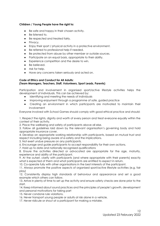# **Children / Young People have the right to:**

- Be safe and happy in their chosen activity.
- Be listened to.
- Be respected and treated fairly.
- Privacy.
- Enjoy their sport / physical activity in a protective environment.
- Be referred to professional help if needed.
- Be protected from abuse by other member or outside sources.
- Participate on an equal basis, appropriate to their ability.
- Experience competition and the desire to win.
- Be believed.
- Ask for help.
- Have any concerns taken seriously and acted on.

#### **Code of Ethics and Conduct for All Adults: (Team Managers, Teachers, Staff, Volunteers, Sport Leads, Parents)**

Participation and involvement in organised sport/active lifestyle activities helps the development of individuals. This can be achieved by:

- Identifying and meeting the needs of individuals
- Improving enjoyment through a programme of safe, guided practice
- Creating an environment in which participants are motivated to maintain their involvement

Everyone involved with School Games should comply with good ethical practice and should:

1. Respect the rights, dignity and worth of every person and treat everyone equally within the context of their activity.

2. Place the wellbeing and safety of participants above all else.

3. Follow all guidelines laid down by the relevant organisation's governing body and hold appropriate insurance cover.

4. Develop an appropriate working relationship with participants, based on mutual trust and respect including being aware of e-safety and the implications.

5. Not exert undue pressure on any participants.

6. Encourage and guide participants to accept responsibility for their own actions.

7. Hold up to date and nationally recognised qualifications

8. Ensure the activities directed or advocated are appropriate for the age, maturity, experience and ability of the participant.

9. At the outset, clarify with participants (and where appropriate with their parents) exactly what is expected of them and what participants are entitled to expect in return.

10. Co-operate fully with other organisations in the best interests of the participant.

11. Always promote the positive aspects of organised sport/active lifestyle activities (e.g. fair play)

12. Consistently display high standards of behaviour and appearance and set a good example which others can follow.

13. Arrive in plenty of time to set up the activity and ensure safety checks are done prior to the start.

14. Keep informed about sound practices and the principles of people's growth, development and personal motivations for taking part

15. Never condone rule violations.

16. Never transport young people or adults at risk alone in a vehicle.

17. Never ridicule or shout at a participant for making a mistake.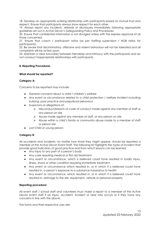18. Develop an appropriate working relationship with participants based on mutual trust and respect. Ensure that participants always show respect for each other.

19. Always report any incidents, referrals or disclosures immediately following appropriate guidelines set out in Active Devon's Safeguarding Policy and Procedures.

20. Ensure that confidential information is not divulged unless with the express approval of all those concerned.

21. Ensure that coach / participant ratios (as per staffing supervision / NGB ratios for participants).

22. Be aware that discriminatory, offensive and violent behaviour will not be tolerated and all complaints will be acted upon.

23. Maintain a clear boundary between friendship and intimacy with the participants and do not conduct inappropriate relationships with participants.

# <span id="page-12-0"></span>**8. Reporting Procedures**

# **What should be reported?**

# **Category A:**

Concerns to be reported may include:

- General concerns about a child / children's welfare
- Any event or circumstance related to a child protection / welfare incident including bullying, poor practice and prejudicial behaviour
- Suspicions or allegations of:
	- o Misconduct/breach of code of conduct made against any member of staff or any person on site
	- o Abuse made against any member of staff, or any person on site
	- o Abuse within a child's family or community abuse made to a member of staff or person site
- Lost Child or young person

# **Category B:**

All accidents and incidents, no matter how trivial they might appear, should be reported a member of the Active Devon Event Staff. The following list highlights the types of incident that provide good indicators of good practice and from which lessons can be learned:

- Any injury to any part of a person's body
- Any case requiring medical or first aid treatment
- Any event or circumstance, which is believed could have resulted in bodily injury, illness, shock or other condition requiring immediate treatment
- Any event or circumstance which resulted in, or in which it is believed could have resulted in, a person's exposure to a substance hazardous to health
- Any event or circumstance, which resulted in, or in which it is believed could have resulted in, damage to the site, equipment, vehicle or personal property

# **Reporting procedure:**

All event staff / school staff and volunteers must make a report to a member of the Active Devon event staff if an injury, accident, incident or near miss occurs or if they have any concerns in line with the above.

The forms and their respective uses are: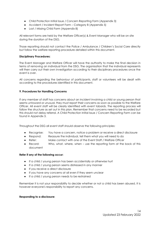- Child Protection Initial Issue / Concern Reporting Form (Appendix 3)
- Accident / Incident Report Form Category B (Appendix 5)
- Lost / Missing Child Form (Appendix 8)

All relevant forms are held by the Welfare Officer(s) & Event Manager who will be on site during the duration of the DSG.

Those reporting should not contact the Police / Ambulance / Children's Social Care directly but follow the welfare reporting procedure detailed within this document.

# **Disciplinary Procedures:**

The Event Manager and Welfare Officer will have the authority to make the final decision in terms of removing an individual from the DSG. The organisation that the individual represents will then carry out their own investigation according to their disciplinary procedures once the event is over.

All concerns regarding the behaviour of participants, staff or volunteers will be dealt with according to the procedures identified in this document.

# <span id="page-13-0"></span>**9. Procedures for Handling Concerns**

If any member of staff has concerns about an incident involving a child or young person that seems untoward or unusual, they must report their concerns as soon as possible to the Welfare Officer. All event staff will be clearly identified with event tabards. The reporting process will follow the structure as set out in this plan. Remember that concerns need to be recorded but this should not delay referral. A Child Protection Initial Issue / Concern Reporting Form can be found in Appendix 3.

Throughout the DSG all event staff should observe the following principles:

- Recognise: You have a concern, notice a problem or receive a direct disclosure
- Respond: Reassure the individual, tell them what you will need to do
	- Refer: Make contact with one of the Event Staff / Welfare Officer
- Record: Who, what, where, when use the reporting form at the back of this document

# **Refer if any of the following occur:**

- If a child / young person has been accidentally or otherwise hurt
- If a child / young person seems distressed in any manner
- If you receive a direct disclosure
- If you have any concerns at all even if they seem unclear
- If a child / young person needs to be restrained

Remember it is not your responsibility to decide whether or not a child has been abused. It is however everyone's responsibility to report any concerns.

# **Responding to a disclosure:**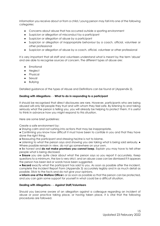Information you receive about or from a child / young person may fall into one of the following categories:

- Concerns about abuse that has occurred outside a sporting environment
- Suspicion or allegation of misconduct by a participant
- Suspicion or allegation of abuse by a participant
- Suspicion or allegation of inappropriate behaviour by a coach, official, volunteer or other professional
- Suspicion or allegation of abuse by a coach, official, volunteer or other professional

It is very important that all staff and volunteers understand what is meant by the term 'abuse' and are able to recognise sources of concern. The different types of abuse are:

- Emotional
- Neglect
- Physical
- Sexual
- Bullying

Detailed guidance of the types of Abuse and Definitions can be found at (Appendix 2).

# **Dealing with Allegations** - - **What to do in responding to a participant**

It should be recognised that direct disclosures are rare. However, participants who are being abused will only tell people they trust and with whom they feel safe. By listening to and taking seriously what the person is telling you, you will already be helping to protect them. It is useful to think in advance how you might respond to this situation.

Here are some brief guidelines:

Create a safe environment by:

● Staying calm and not rushing into actions that may be inappropriate.

• Confirming you know how difficult it must have been to confide in you and that they have done the right thing.

● Reassuring the participant and stressing he/she is not to blame.

● Listening to what the person says and showing you are taking what is being said seriously. ● Where possible remain in view, do not go somewhere on your own.

● Be honest and **do not make promises you cannot keep**. Explain you may have to tell other people what is being disclosed.

● **Ensure** you are quite clear about what the person says so you report it accurately. Keep questions to a minimum, the law is very strict, and an abuse case can be dismissed if it appears the person has been led or words have been suggested.

● **Record** exactly what the participant has said to you. As soon as possible after the incident, complete the Incident Report Form (Appendix 3) accurately legibly and in as much detail as possible. Stick to the facts and do not give your opinions.

● **Inform one of the Welfare Office**rs or as soon as possible so that the person can be protected, and you can gain some support for yourself in what could be a difficult situation.

# **Dealing with Allegations - - Against Staff/Volunteers**

Should you become aware of an allegation against a colleague regarding an incident of abuse or poor practice taking place, or having taken place, it is vital that the following procedures are followed.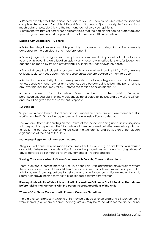• Record exactly what the person has said to you. As soon as possible after the incident, complete the Incident / Accident Report Form (Appendix 5) accurately, legibly and in as much detail as possible. Stick to the facts and do not give your opinions.

● Inform the Welfare Officers as soon as possible so that the participant can be protected, and you can gain some support for yourself in what could be a difficult situation.

# **Dealing with Allegations – General**

● Take the allegations seriously. It is your duty to consider any allegation to be potentially dangerous to the participant and therefore report it.

● Do not judge or investigate. As an employee or volunteer it is important not to lose focus of your role. By reporting an allegation quickly any necessary investigations and/or judgement can then be made by trained professionals i.e. social services and/or the police.

• Do not discuss the incident or concerns with anyone other than the LSO / DSO / Welfare Officers, social services department or police unless you are advised by them to do so.

● Maintain confidentiality. It is extremely important that any allegations are not discussed (unless absolutely necessary) as any breaches could be damaging to both the person and to any investigations that may follow. Refer to the section on 'Confidentiality'.

Any requests for information from members of the public (including parents/carers/guardians) or the media should be directed to the Designated Welfare Officers and should be given the 'no comment' response.

#### **Suspension:**

Suspension is not a form of disciplinary action. Suspension is a neutral act. Any member of staff working on the DSG may be suspended whilst an investigation is carried out.

The Welfare Officer, depending on the nature of the incident leading up to an investigation, will carry out this suspension. The information will then be passed onto the relevant organisation for action to be taken. Records will be held in a welfare file and passed onto the relevant organisation at the end of the DSG.

# **Managing allegations of non-recent abuse:**

Allegations of abuse may be made some time after the event, e.g. an adult who was abused as a child. Where such an allegation is made the procedures for managing allegations of abuse detailed earlier must be followed. Remember – record and refer.

# **Sharing Concerns - When to Share Concerns with Parents, Carers or Guardians**

There is always a commitment to work in partnership with parents/carers/guardians where there are concerns about their children. Therefore, in most situations it would be important to talk to parents/carers/guardians to help clarify any initial concerns. For example, if a child seems withdrawn, he/she may have experienced a family bereavement.

# **If in any doubt at all staff should consult with the Welfare Officers or Social Services Department before raising their concerns with the parents/carers/guardians of the child.**

# **When NOT to Share Concerns with Parents, Carers or Guardians**

There are circumstances in which a child may be placed at even greater risk if such concerns were shared (e.g. where a parent/carer/guardian may be responsible for the abuse, or not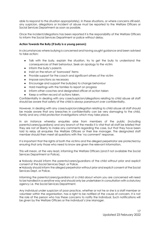able to respond to the situation appropriately). In these situations, or where concerns still exist, any suspicion, allegations or incident of abuse must be reported to the Welfare Officers or Social Services Department as soon as possible.

Once the incident/allegations has been reported it is the responsibility of the Welfare Officers to inform the Social Services Department or police without delay.

# **Action Towards the Bully (if bully is a young person):**

In circumstances where bullying is concerned and having sought guidance and been advised to take action:

- Talk with the bully, explain the situation, try to get the bully to understand the consequences of their behaviour. Seek an apology to the victim
- Inform the bully's parents
- Insist on the return of 'borrowed' items
- Provide support for the coach and significant others of the victim
- Impose sanctions as necessary
- Encourage and support the bully(ies) to change behaviour
- Hold meetings with the families to report on progress
- Inform other coaches and designated officer of action taken
- Keep a written record of actions taken.

Confidentiality In dealing with any case/suspicion/allegations relating to child abuse all staff should be aware that safety of the child is always paramount over confidentiality.

However, in dealing with any case/suspicion/allegation relating to child abuse all staff should be made aware that any breaches in confidentiality can be very damaging to the child, family and any child protection investigations which may take place.

In an instance whereby enquiries arise from members of the public (including parents/carers/guardians) and any branch of the media it is vital that all staff be briefed that they are not at liberty to make any comments regarding the case, but that they have been told to relay all enquiries the Welfare Officers or their line manager. The designated staff member should then meet all questions with the 'no comment' response.

It is important that the rights of both the victims and the alleged perpetrator are protected by ensuring that only those who need to know are given the relevant information.

This will mean, at the very least, informing the Welfare Officers (and if not available the Social Services Department or Police).

● Nobody should inform the parents/carers/guardians of the child without prior and explicit consent of the Social Services Dept. or Police.

● Nobody should inform the alleged perpetrator without prior and explicit consent of the Social Services Dept. or Police.

Informing the parents/carers/guardians of a child about whom you are concerned will need to be handled in a sensitive way and should only be undertaken in consultation with a statutory agency i.e. the Social Services Department.

Any individual under suspicion of poor practice, whether or not he or she is a staff member or volunteer within the organisation, has a right to be notified of the cause of concern. It is not the role of the person who has these concerns to notify the individual. Such notifications will be given by the Welfare Officers or the individual's Line Manager.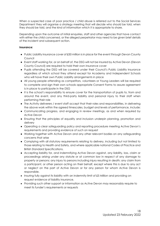When a suspected case of poor practice / child abuse is referred out to the Social Services Department they will organise a strategy meeting that will decide who should be told, when they should be told, and the kind of information which it is appropriate to share.

Depending upon the outcome of initial enquiries, staff and other agencies that have contact with either the child concerned, or the alleged perpetrator may need to be given brief details of the incident and subsequent action.

# **Insurance:**

- Public Liability insurance cover of £50 million is in place for the event through Devon County Council
- Event staff working for, or on behalf of, the DSG will not be insured by Active Devon (Devon County Council) are required to hold their own insurance cover
- Pupils attending the DSG will be covered under their Council's Public Liability Insurance regardless of which school they attend except for Academy and Independent Schools who will have their own Public Liability arrangements in place
- All young people attending as competitors, volunteers or Young Leaders will be required to complete and sign their own schools appropriate Consent Forms to assure agreement is in place to participate in the DSG
- It is the school's responsibility to ensure cover for the transportation of pupils to, from and around the event, and any third-party liability and personal injury to their staff when performing their role
- The Activity deliverers / event staff accept that their roles and responsibilities, in delivering the above work within the agreed timescales, budget and levels of performance, include:
- Communicating progress, and engaging in review meetings, as and when required by Active Devon
- Ensuring that the principles of equality and inclusion underpin planning, promotion and delivery
- Operating a clear safeguarding policy and reporting procedure meeting Active Devon's requirements and providing evidence of such on request
- Working together with Active Devon and any other relevant bodies on any safeguarding concerns that arise
- Complying with all statutory requirements relating to delivery, including but not limited to those relating to Health and Safety, and where applicable national Codes of Practice and British Standard Specifications.
- Accepting liability for, and indemnifying Active Devon against, any liability, loss, claim or proceedings arising under any statute or at common law in respect of any damage to property or persons; any injury to persons including injury resulting in death; any claim from a participant, or other person acting on their behalf, except where this is due to any act or neglect on the part of Active Devon or for any person for whom Active Devon is responsible.
- Insuring fully against its liability with an indemnity limit of £5 Million and providing on request evidence of liability insurance.
- Providing such other support or information as Active Devon may reasonably require to meet its funder's requirements or requests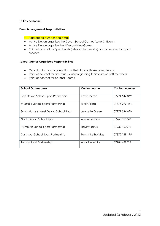# <span id="page-18-0"></span>**10.Key Personnel**

# <span id="page-18-1"></span>**Event Management Responsibilities**

# • Add phone number and email

- Active Devon organises the Devon School Games (Level 3) Events.
- Active Devon organise the #DevonVirtualGames.
- Point of contact for Sport Leads (relevant to their site) and other event support services

# <span id="page-18-2"></span>**School Games Organisers Responsibilities**

- Coordination and organisation of their School Games area teams
- Point of contact for any issue / query regarding their team or staff members
- Point of contact for parents / carers

| <b>School Games area</b>             | <b>Contact name</b>  | <b>Contact number</b> |
|--------------------------------------|----------------------|-----------------------|
| East Devon School Sport Partnership  | Kevin Moran          | 07971 547 369         |
| St Luke's School Sports Partnership  | Nick Gillard         | 07875 299 454         |
| South Hams & West Devon School Sport | Jeanette Green       | 07977 594 820         |
| North Devon School Sport             | Zoe Robertson        | 07468 323348          |
| Plymouth School Sport Partnership    | <b>Hayley Jarvis</b> | 07932460012           |
| Dartmoor School Sport Partnership    | Tammi Lethbridge     | 07872 129 195         |
| Torbay Sport Partnership             | Annabel White        | 07784 689516          |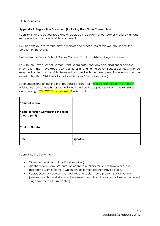# <span id="page-19-0"></span>**11. Appendices**

# <span id="page-19-1"></span>**Appendix 1: Registration Document (Including Non-Photo Consent Form)**

I confirm I have received, read and understood the Devon School Games Welfare Plan and recognise the importance of this document.

I will undertake to follow the aims, principles and procedures of this Welfare Plan for the duration of the event.

I will follow the Devon School Games Code of Conduct whilst working at the event.

I assure the Devon School Games Event Coordinators that any conversations or personal information I may have about young athletes attending the Devon School Games will not be repeated or discussed outside the event or shared with the press or media during or after the event (other than Children's Social Care Services / Police if required).

I also understand by signing this I recognise children with **GREEN "No Media - No Photos"** wristbands cannot be photographed, and I must only take photos once i have registered and wearing a YELLOW "Photo Consent" wristband.

| <b>Name of School</b> |                                     |           |  |
|-----------------------|-------------------------------------|-----------|--|
|                       | Name of Person Completing this form |           |  |
| (please print)        |                                     |           |  |
|                       |                                     |           |  |
| <b>Contact Number</b> |                                     |           |  |
| <b>Date</b>           |                                     | Signature |  |

I permit Active Devon to:

- Circulate the video to local TV (if required)
- Use the video in any presentation or online publicity for Active Devon or other associated work projects in which any of its main partners have a stake.
- Reproduce the video on the websites and social media platforms of all partners (please note that websites can be viewed throughout the world, not just in the United Kingdom where UK law applies)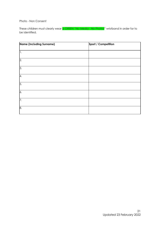Photo - Non Consent

These children must clearly wear **a GREEN "No Media - No Photos**" wristband in order for to be identified.

| Name (Including Surname) | Sport / Competition |
|--------------------------|---------------------|
| 1.                       |                     |
| $\overline{2}$ .         |                     |
| $\overline{3}$ .         |                     |
| 4.                       |                     |
| 5.                       |                     |
| 6.                       |                     |
| $\overline{7}$ .         |                     |
| 8.                       |                     |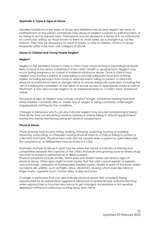# <span id="page-21-0"></span>**Appendix 2: Types & Signs of Abuse**

Detailed Guidance of the types of Abuse and Definitions Abuse and neglect are forms of maltreatment of any person. Somebody may abuse or neglect a person by inflicting harm, or by failing to act to prevent harm. Participants may be abused in a family or in an institutional or community setting, by those known to them or, more rarely, by a stranger e.g. via the internet. They may be abused by an adult or adults, a child or children. Victims of abuse frequently suffer more than one category of abuse.

# **Abuse of Children and Young People Neglect**

# **Neglect**

Neglect is the persistent failure to meet a child's basic physical and/or psychological needs, likely to result in the serious impairment of the child's health or development. Neglect may occur during pregnancy as a result of maternal substance abuse. Once a child is born, neglect may involve a parent or carer failing to provide adequate food and clothing; shelter, including exclusion from home or abandonment; failing to protect a child from physical and emotional harm or danger; failure to ensure adequate supervision including the use of inadequate caretakers; or the failure to ensure access to appropriate medical care or treatment. It may also include neglect of, or unresponsiveness to, a child's basic emotional needs.

The physical signs of neglect may include constant hunger, sometimes stealing food from other children constantly dirty or 'smelly' loss of weight or being constantly underweight inappropriate clothing for the conditions.

Changes in behaviour which can also indicate neglect may include complaining of being tired all the time not requesting medical assistance and/or failing to attend appointments having few friends mentioning being left alone or unsupervised.

# **Physical Abuse**

Physical abuse may involve hitting, shaking, throwing, poisoning, burning or scalding, drowning, suffocating, or otherwise causing physical harm to a child or failing to protect a child from that harm. Physical harm may also be caused when a parent or carer fabricates the symptoms of, or deliberately induces illness in a child.

Examples of physical abuse in sport may be when the nature or intensity of training and competition exceeds the capacity of the child's immature and growing body or where drugs are used to enhance performance or delay puberty.

Physical symptoms include bruises, black eyes and broken bones are obvious signs of physical abuse. Other signs might include injuries that the child cannot explain or explains unconvincingly, untreated or inadequately treated injuries, injuries to parts of the body where accidents are unlikely, such as thighs, back, abdomen, bruising which looks like hand or finger marks, cigarette burns, human bites, scalds and burns

Changes in behaviour that can also indicate physical abuse: fear of parents being approached for an explanation aggressive behaviour or severe temper outbursts flinching when approached or touched reluctance to get changed, for example in hot weather depression withdrawn behaviour running away from home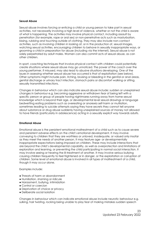# **Sexual Abuse**

Sexual abuse involves forcing or enticing a child or young person to take part in sexual activities, not necessarily involving a high level of violence, whether or not the child is aware of what is happening. The activities may involve physical contact, including assault by penetration (for example, rape or oral sex) or non‐penetrative acts such as masturbation, kissing, rubbing and touching outside of clothing. They may also include non‐contact activities, such as involving children in looking at, or in the production of, sexual images, watching sexual activities, encouraging children to behave in sexually inappropriate ways, or grooming a child in preparation for abuse (including via the internet). Sexual abuse is not solely perpetrated by adult males. Women can also commit acts of sexual abuse, as can other children.

In sport, coaching techniques that involve physical contact with children could potentially create situations where sexual abuse may go unnoticed. The power of the coach over the young performer, if misused, may also lead to abusive situations developing. One of the issues in assessing whether sexual abuse has occurred is that of exploitation (see below). Other symptoms might include pain, itching, bruising or bleeding in the genital or anal areas, genital discharge or urinary tract infection, stomach pains or discomfort walking or sitting, sexually transmitted infections.

Changes in behaviour which can also indicate sexual abuse include: sudden or unexplained changes in behaviour e.g. becoming aggressive or withdrawn fear of being left with a specific person or group of people having nightmares running away from home sexual knowledge which is beyond their age, or developmental level sexual drawings or language bedwetting eating problems such as overeating or anorexia self‐harm or mutilation, sometimes leading to suicide attempts saying they have secrets they cannot tell anyone about substance or drug abuse suddenly having unexplained sources of money not allowed to have friends (particularly in adolescence) acting in a sexually explicit way towards adults.

# **Emotional Abuse**

Emotional abuse is the persistent emotional maltreatment of a child such as to cause severe and persistent adverse effects on the child's emotional development. It may involve conveying to children that they are worthless or unloved, inadequate, or valued only insofar as they meet the needs of another person. It may feature age‐ or developmentally inappropriate expectations being imposed on children. These may include interactions that are beyond the child's developmental capability, as well as overprotection and limitations of exploration and learning, or preventing the child participating in normal social interaction. It may involve seeing or hearing the ill‐treatment of another. It may involve serious bullying causing children frequently to feel frightened or in danger, or the exploitation or corruption of children. Some level of emotional abuse is involved in all types of maltreatment of a child, though it may occur alone.

Examples include:

- Threats of harm or abandonment
- Humiliation, shaming or ridicule
- Harassment, bullying, intimidation
- Control or coercion
- Deprivation of choice or privacy
- Deliberate social isolation

Changes in behaviour which can indicate emotional abuse include neurotic behaviour e.g. sulking, hair twisting, rocking being unable to play fear of making mistakes sudden speech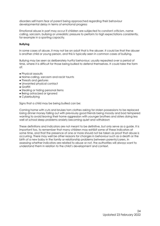disorders self‐harm fear of parent being approached regarding their behaviour developmental delay in terms of emotional progress

Emotional abuse in part may occur if children are subjected to constant criticism, name calling, sarcasm, bullying or unrealistic pressure to perform to high expectations consistently, for example in a sporting capacity.

# **Bullying**

In some cases of abuse, it may not be an adult that is the abuser. It could be that the abuser is another child or young person, and this is typically seen in common cases of bullying.

Bullying may be seen as deliberately hurtful behaviour, usually repeated over a period of time, where it is difficult for those being bullied to defend themselves. It could take the form of:

- Physical assaults
- Name‐calling, sarcasm and racist taunts
- Threats and gestures
- Unwanted physical contact
- Graffiti
- Stealing or hiding personal items
- Being ostracized or ignored
- Cyberbullying

Signs that a child may be being bullied can be:

Coming home with cuts and bruises torn clothes asking for stolen possessions to be replaced losing dinner money falling out with previously good friends being moody and bad tempered wanting to avoid leaving their home aggression with younger brothers and sisters doing less well at school sleep problems anxiety becoming quiet and withdrawn

These definitions and indicators are not meant to be definitive, but only serve as a guide. It is important too, to remember that many children may exhibit some of these indicators at some time, and that the presence of one or more should not be taken as proof that abuse is occurring. There may well be other reasons for changes in behaviour such as a death or the birth of a new baby in the family or relationship problems between parents/carers. In assessing whether indicators are related to abuse or not, the authorities will always want to understand them in relation to the child's development and context.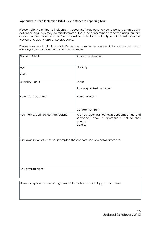# <span id="page-24-0"></span>**Appendix 3: Child Protection Initial Issue / Concern Reporting Form**

Please note: From time to incidents will occur that may upset a young person, or an adult's actions or language may be misinterpreted. These incidents must be reported using this form as soon as the incident occurs. The completion of this form for this type of incident should be viewed as a quality assurance procedure.

Please complete in block capitals. Remember to maintain confidentiality and do not discuss with anyone other than those who need to know.

| Name of Child:                                                               | Activity involved in:                                                                                                 |
|------------------------------------------------------------------------------|-----------------------------------------------------------------------------------------------------------------------|
| Age:                                                                         | Ethnicity:                                                                                                            |
| DOB:                                                                         |                                                                                                                       |
| Disability if any:                                                           | Team:                                                                                                                 |
|                                                                              | School sport Network Area:                                                                                            |
| Parent/Carers name:                                                          | Home Address:                                                                                                         |
|                                                                              |                                                                                                                       |
|                                                                              | Contact number:                                                                                                       |
| Your name, position, contact details                                         | Are you reporting your own concerns or those of<br>somebody else? If appropriate include their<br>contact<br>details: |
|                                                                              |                                                                                                                       |
| Brief description of what has prompted the concerns include dates, times etc |                                                                                                                       |
|                                                                              |                                                                                                                       |
|                                                                              |                                                                                                                       |
|                                                                              |                                                                                                                       |
| Any physical signs?                                                          |                                                                                                                       |
|                                                                              |                                                                                                                       |

Have you spoken to the young person/ If so, what was said by you and them?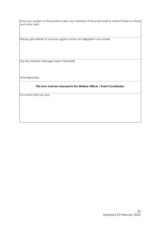$|$ Have you spoken to the parent/carer, any member of the event staff or others? State to whom $|$ and what said:

Please give details of anyone against whom an allegation was made

Has the Welfare Manager been informed?

Time Reported:

# **This form must be returned to the Welfare Officer / Event Coordinator**

For event staff use only: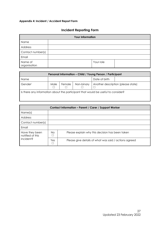# <span id="page-26-0"></span>**Appendix 4: Incident / Accident Report Form**

# **Incident Reporting Form**

|                         | <b>Your Information</b> |           |  |
|-------------------------|-------------------------|-----------|--|
| Name                    |                         |           |  |
| Address                 |                         |           |  |
| Contact number(s)       |                         |           |  |
| Email                   |                         |           |  |
| Name of<br>organisation |                         | Your role |  |

|                                                                                  |      |        |            | Personal Information - Child / Young Person / Participant |                                    |
|----------------------------------------------------------------------------------|------|--------|------------|-----------------------------------------------------------|------------------------------------|
| <b>Name</b>                                                                      |      |        |            | Date of birth                                             |                                    |
| Genderi                                                                          | Male | Female | Non-binary |                                                           | Another description (please state) |
| Is there any information about the participant that would be useful to consider? |      |        |            |                                                           |                                    |

|                                    |                | Contact Information - Parent / Carer / Support Worker |
|------------------------------------|----------------|-------------------------------------------------------|
| Name(s)                            |                |                                                       |
| <b>Address</b>                     |                |                                                       |
| Contact number(s)                  |                |                                                       |
| Email                              |                |                                                       |
| Have they been<br>notified of this | N <sub>O</sub> | Please explain why this decision has been taken       |
| incident?                          | Yes            | Please give details of what was said / actions agreed |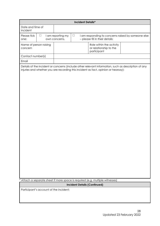|                                   |                                        |                                    |        | <b>Incident Details*</b>                                                                                                                                                                  |
|-----------------------------------|----------------------------------------|------------------------------------|--------|-------------------------------------------------------------------------------------------------------------------------------------------------------------------------------------------|
| Date and time of<br>incident      |                                        |                                    |        |                                                                                                                                                                                           |
| Please tick<br>one:               | $\Box$                                 | I am reporting my<br>own concerns. | $\Box$ | I am responding to concerns raised by someone else<br>- please fill in their details:                                                                                                     |
| Name of person raising<br>concern |                                        |                                    |        | Role within the activity<br>or relationship to the<br>participant                                                                                                                         |
| Contact number(s)                 |                                        |                                    |        |                                                                                                                                                                                           |
| Email                             |                                        |                                    |        |                                                                                                                                                                                           |
|                                   |                                        |                                    |        | Details of the incident or concerns (include other relevant information, such as description of any<br>injuries and whether you are recording this incident as fact, opinion or hearsay): |
|                                   |                                        |                                    |        | * Attach a separate sheet if more space is required (e.g. multiple witnesses)                                                                                                             |
|                                   |                                        |                                    |        | <b>Incident Details (Continued)</b>                                                                                                                                                       |
|                                   | Participant's account of the incident: |                                    |        |                                                                                                                                                                                           |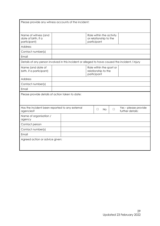| Please provide any witness accounts of the incident:                                            |  |  |                                                                   |     |        |                                          |
|-------------------------------------------------------------------------------------------------|--|--|-------------------------------------------------------------------|-----|--------|------------------------------------------|
| Name of witness (and<br>date of birth, if a<br>participant)                                     |  |  | Role within the activity<br>or relationship to the<br>participant |     |        |                                          |
| Address                                                                                         |  |  |                                                                   |     |        |                                          |
| Contact number(s)                                                                               |  |  |                                                                   |     |        |                                          |
| Email                                                                                           |  |  |                                                                   |     |        |                                          |
| Details of any person involved in this incident or alleged to have caused the incident / injury |  |  |                                                                   |     |        |                                          |
| Name (and date of<br>birth, if a participant)                                                   |  |  | Role within the sport or<br>relationship to the<br>participant    |     |        |                                          |
| <b>Address</b>                                                                                  |  |  |                                                                   |     |        |                                          |
| Contact number(s)                                                                               |  |  |                                                                   |     |        |                                          |
| Email                                                                                           |  |  |                                                                   |     |        |                                          |
| Please provide details of action taken to date:                                                 |  |  |                                                                   |     |        |                                          |
| Has the incident been reported to any external<br>agencies?                                     |  |  | $\Box$                                                            | No. | $\Box$ | Yes - please provide<br>further details: |
| Name of organisation /<br>agency                                                                |  |  |                                                                   |     |        |                                          |
| Contact person                                                                                  |  |  |                                                                   |     |        |                                          |
| Contact number(s)                                                                               |  |  |                                                                   |     |        |                                          |
| Email                                                                                           |  |  |                                                                   |     |        |                                          |
| Agreed action or advice given:                                                                  |  |  |                                                                   |     |        |                                          |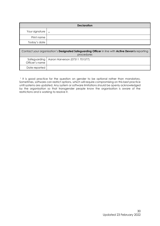|                          | <b>Declaration</b> |
|--------------------------|--------------------|
| Your signature $\Big _x$ |                    |
| Print name               |                    |
| Today's date             |                    |

|                | Contact your organisation's <b>Designated Safeguarding Officer</b> in line with <b>Active Devon's</b> reporting<br>procedures |
|----------------|-------------------------------------------------------------------------------------------------------------------------------|
| Officer's name | Safeguarding   Aaron Harverson (07511 701577)                                                                                 |
| Date reported  |                                                                                                                               |

<sup>1</sup> It is good practice for the question on gender to be optional rather than mandatory. Sometimes, software can restrict options, which will require compromising on this best practice until systems are updated. Any system or software limitations should be openly acknowledged by the organisation so that transgender people know the organisation is aware of the restrictions and is working to resolve it.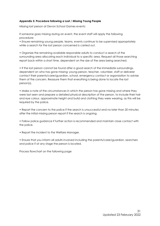# <span id="page-30-0"></span>**Appendix 5: Procedure following a Lost / Missing Young People**

Missing lost person at Devon School Games events:

If someone goes missing during an event, the event staff will apply the following procedure:

• Ensure remaining young people, teams, events continue to be supervised appropriately while a search for the lost person concerned is carried out.

• Organize the remaining available responsible adults to conduct a search of the surrounding area allocating each individual to a specific area. Request all those searching report back within a short time, dependent on the size of the area being searched.

• If the lost person cannot be found after a good search of the immediate surroundings, dependent on who has gone missing; young person, teacher, volunteer, staff or deliverer contact their parents/carer/guardian, school, emergency contact or organsiation to advise them of the concern. Reassure them that everything is being done to locate the lost person(s).

• Make a note of the circumstances in which the person has gone missing and where they were last seen and prepare a detailed physical description of the person, to include their hair and eye colour, approximate height and build and clothing they were wearing, as this will be required by the police.

• Report the concern to the police if the search is unsuccessful and no later than 20 minutes after the initial missing person report if the search is ongoing.

• Follow police guidance if further action is recommended and maintain close contact with the police.

• Report the incident to the Welfare Manager.

• Ensure that you inform all adults involved including the parents/carer/guardian, searchers and police if at any stage the person is located.

Process flowchart on the following page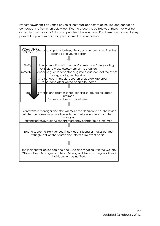Process flowchart: If an young person or individual appears to be missing and cannot be contacted, the flow chart below identifies the process to be followed. There may well be access to photographs of all young people at the event and if so these can be used to help provide the police with a description should this be necessary.

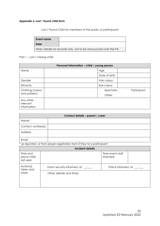# <span id="page-32-0"></span>**Appendix 6: Lost / found child form**

Lost / Found Child for members of the public or participants

| l Event name                                                     |  |
|------------------------------------------------------------------|--|
| ' Date                                                           |  |
| Note: Details for records only, not to be announced over the PA. |  |

# Part 1 – Lost / missing child

| Personal information - child / young person |  |                                      |  |
|---------------------------------------------|--|--------------------------------------|--|
| Name                                        |  | Age                                  |  |
|                                             |  | Date of birth                        |  |
| Gender                                      |  | Hair colour                          |  |
| Ethnicity                                   |  | Eye colour                           |  |
| Clothing (colour                            |  | $\cdots$<br>Participant<br>Spectator |  |
| and pattern)                                |  | $\bullet$<br>Other:                  |  |
| Any other<br>relevant<br>information        |  |                                      |  |

| Contact details - parent / carer |  |  |  |
|----------------------------------|--|--|--|
| Name*                            |  |  |  |
| Contact number(s)                |  |  |  |
| Address                          |  |  |  |
| Email                            |  |  |  |

\* as reported, or from player registration form if they're a participant

| Incident details                     |                                             |                              |  |  |  |
|--------------------------------------|---------------------------------------------|------------------------------|--|--|--|
| Time and<br>place child<br>last seen |                                             | Time event staff<br>informed |  |  |  |
| Action(s)<br>taken and               | 0.9<br>Event security informed, $at$ __: __ | 0.9<br>Police informed, at : |  |  |  |
| when                                 | $\bullet$<br>Other (details and time)       |                              |  |  |  |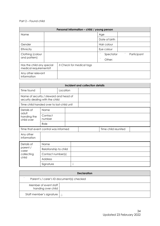# Part 2 – Found child

| Personal information - child / young person        |  |                                 |               |           |           |             |
|----------------------------------------------------|--|---------------------------------|---------------|-----------|-----------|-------------|
| Name                                               |  |                                 | Age           |           |           |             |
|                                                    |  |                                 | Date of birth |           |           |             |
| Gender                                             |  |                                 | Hair colour   |           |           |             |
| Ethnicity                                          |  |                                 | Eye colour    |           |           |             |
| Clothing (colour                                   |  |                                 | $\bullet$     | Spectator | $\bullet$ | Participant |
| and pattern)                                       |  |                                 | $\bullet$     | Other:    |           |             |
| Has the child any special<br>medical requirements? |  | <b>ð Check for medical tags</b> |               |           |           |             |
| Any other relevant<br>information                  |  |                                 |               |           |           |             |

| Incident and collection details                                           |                       |          |   |  |                     |  |
|---------------------------------------------------------------------------|-----------------------|----------|---|--|---------------------|--|
| Time found                                                                |                       | Location |   |  |                     |  |
| Name of security / steward and head of<br>security dealing with the child |                       |          |   |  |                     |  |
| Time child handed over to lost-child unit                                 |                       |          |   |  |                     |  |
| Details of                                                                | Name                  |          |   |  |                     |  |
| adult<br>handing the<br>child over                                        | Contact<br>number     |          |   |  |                     |  |
|                                                                           | Role                  |          |   |  |                     |  |
| Time that event control was informed                                      |                       |          |   |  | Time child reunited |  |
| Any other<br>information                                                  |                       |          |   |  |                     |  |
| Details of                                                                | Name                  |          |   |  |                     |  |
| parent /<br>carer                                                         | Relationship to child |          |   |  |                     |  |
| collecting                                                                | Contact number(s)     |          |   |  |                     |  |
| child                                                                     | <b>Address</b>        |          |   |  |                     |  |
|                                                                           | Signature             |          | Û |  |                     |  |

| <b>Declaration</b>                          |           |  |  |
|---------------------------------------------|-----------|--|--|
| Parent's / carer's ID document(s) checked   |           |  |  |
| Member of event staff<br>handing over child |           |  |  |
| Staff member's signature                    | $\hat{ }$ |  |  |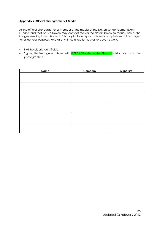# <span id="page-34-0"></span>**Appendix 7: Official Photographers & Media**

As the official photographer or member of the media at The Devon School Games Events I understand that Active Devon may contact me via the details below to request use of the images resulting from this event. This may include reproductions or adaptations of the images for all general purposes, and at any time, in relation to Active Devon's work.

- I will be clearly identifiable.
- Signing this I recognise children with **GREEN** "No Media No Photos" wristbands cannot be photographed.

| <b>Name</b> | <b>Company</b> | Signature |
|-------------|----------------|-----------|
|             |                |           |
|             |                |           |
|             |                |           |
|             |                |           |
|             |                |           |
|             |                |           |
|             |                |           |
|             |                |           |
|             |                |           |
|             |                |           |
|             |                |           |
|             |                |           |
|             |                |           |
|             |                |           |
|             |                |           |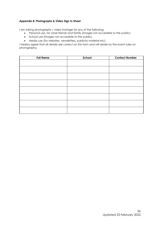# <span id="page-35-0"></span>**Appendix 8: Photographs & Video Sign In Sheet**

I am taking photographs / video footage for any of the following:

- Personal use, for close friends and family (images not accessible to the public)
- School use (images not accessible to the public)
- Media use (for websites, newsletters, publicity material etc)

I hereby agree that all details are correct on this form and will abide by the event rules on photography.

| <b>Full Name</b> | School | <b>Contact Number</b> |
|------------------|--------|-----------------------|
|                  |        |                       |
|                  |        |                       |
|                  |        |                       |
|                  |        |                       |
|                  |        |                       |
|                  |        |                       |
|                  |        |                       |
|                  |        |                       |
|                  |        |                       |
|                  |        |                       |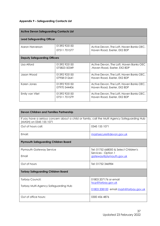# <span id="page-36-0"></span>**Appendix 9 – Safeguarding Contacts List**

| <b>Active Devon Safeguarding Contacts List</b> |                             |                                                                        |  |  |
|------------------------------------------------|-----------------------------|------------------------------------------------------------------------|--|--|
| <b>Lead Safeguarding Officer</b>               |                             |                                                                        |  |  |
| Aaron Harverson                                | 01392925150                 | Active Devon, The Loft, Haven Banks OEC,                               |  |  |
|                                                | 07511701577                 | Haven Road, Exeter, EX2 8DP                                            |  |  |
| <b>Deputy Safeguarding Officers</b>            |                             |                                                                        |  |  |
| Lisa Alford                                    | 01392925150<br>075823 50349 | Active Devon, The Loft, Haven Banks OEC<br>Haven Road, Exeter, EX2 8DP |  |  |
| Jason Wood                                     | 01392925150                 | Active Devon, The Loft, Haven Banks OEC,                               |  |  |
|                                                | 07958 012641                | Haven Road, Exeter, EX2 8DP                                            |  |  |
| Karen Jones                                    | 01392925150                 | Active Devon, The Loft, Haven Banks OEC,                               |  |  |
|                                                | 07970 544406                | Haven Road, Exeter, EX2 8DP                                            |  |  |
| Emily van Vliet                                | 01392925150                 | Active Devon, The Loft, Haven Banks OEC,                               |  |  |
|                                                | 07511701579                 | Haven Road, Exeter, EX2 8DP                                            |  |  |

| <b>Devon Children and Families Partnership</b>                                                                           |                                                              |  |  |  |
|--------------------------------------------------------------------------------------------------------------------------|--------------------------------------------------------------|--|--|--|
| If you have a serious concern about a child or family, call the Multi Agency Safeguarding Hub<br>(MASH) on 0345 155 1071 |                                                              |  |  |  |
| Out of hours call:                                                                                                       | 0345 155 1071                                                |  |  |  |
| Fmail:                                                                                                                   | mashsecure@devon.gov.uk                                      |  |  |  |
| <b>Plymouth Safeguarding Children Board</b>                                                                              |                                                              |  |  |  |
| <b>Plymouth Gateway Service</b>                                                                                          | Tel: 01752 668000 & Select Children's<br>Services - Option 1 |  |  |  |
| Email                                                                                                                    | gateway@plymouth.gov.uk                                      |  |  |  |
| Out of hours                                                                                                             | Tel: 01752 346984                                            |  |  |  |
| <b>Torbay Safeguarding Children Board</b>                                                                                |                                                              |  |  |  |
| Torbay Council:                                                                                                          | 01803 207176 or email<br>tscp@torbay.gov.uk                  |  |  |  |
| Torbay Multi-Agency Safeguarding Hub                                                                                     | 01803 208100 email mash@torbay.gov.uk                        |  |  |  |
| Out of office hours:                                                                                                     | 0300 456 4876                                                |  |  |  |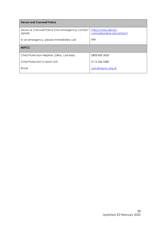| <b>Devon and Cornwall Police</b>                            |                                                   |
|-------------------------------------------------------------|---------------------------------------------------|
| Devon & Cornwall Police (non-emergency) contact<br>details: | https://www.devon-<br>cornwall.police.uk/contact/ |
| In an emergency, please immediately call                    | 999                                               |
| <b>NSPCC</b>                                                |                                                   |
| Child Protection Helpline: (24hrs, call free)               | 0808 800 5000                                     |
| Child Protection in Sport Unit                              | 01163665580                                       |
| Email                                                       | cpsu@nspcc.org.uk                                 |